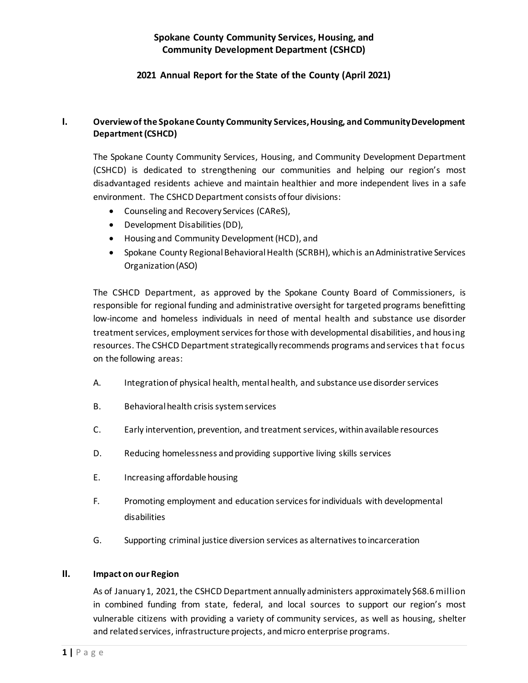# **Spokane County Community Services, Housing, and Community Development Department (CSHCD)**

## **2021 Annual Report for the State of the County (April 2021)**

## **I. Overview of the Spokane County Community Services, Housing, and Community Development Department (CSHCD)**

The Spokane County Community Services, Housing, and Community Development Department (CSHCD) is dedicated to strengthening our communities and helping our region's most disadvantaged residents achieve and maintain healthier and more independent lives in a safe environment. The CSHCD Department consists of four divisions:

- Counseling and Recovery Services (CAReS),
- Development Disabilities (DD),
- Housing and Community Development (HCD), and
- Spokane County Regional Behavioral Health (SCRBH), which is an Administrative Services Organization (ASO)

The CSHCD Department, as approved by the Spokane County Board of Commissioners, is responsible for regional funding and administrative oversight for targeted programs benefitting low-income and homeless individuals in need of mental health and substance use disorder treatment services, employment services for those with developmental disabilities, and housing resources. The CSHCD Department strategically recommends programs and services that focus on the following areas:

- A. Integration of physical health, mental health, and substance use disorder services
- B. Behavioral health crisis system services
- C. Early intervention, prevention, and treatmentservices, within available resources
- D. Reducing homelessness and providing supportive living skills services
- E. Increasing affordable housing
- F. Promoting employment and education servicesfor individuals with developmental disabilities
- G. Supporting criminal justice diversion services as alternatives to incarceration

#### **II. Impact on our Region**

As of January 1, 2021, the CSHCD Department annually administers approximately \$68.6 million in combined funding from state, federal, and local sources to support our region's most vulnerable citizens with providing a variety of community services, as well as housing, shelter and related services, infrastructure projects, and micro enterprise programs.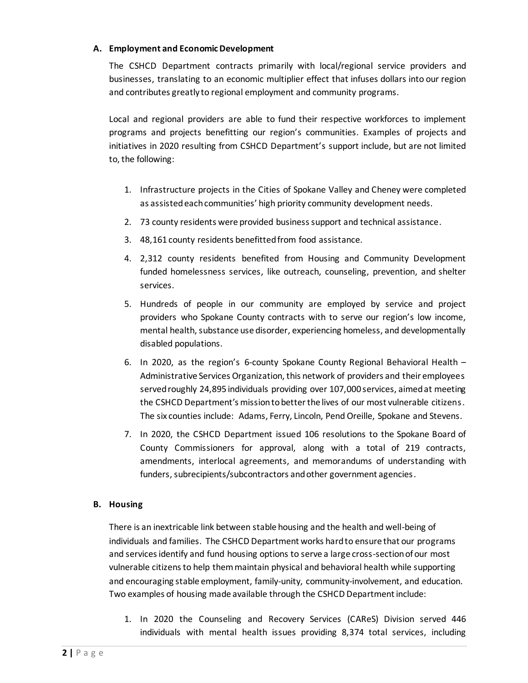#### **A. Employment and Economic Development**

The CSHCD Department contracts primarily with local/regional service providers and businesses, translating to an economic multiplier effect that infuses dollars into our region and contributes greatly to regional employment and community programs.

Local and regional providers are able to fund their respective workforces to implement programs and projects benefitting our region's communities. Examples of projects and initiatives in 2020 resulting from CSHCD Department's support include, but are not limited to, the following:

- 1. Infrastructure projects in the Cities of Spokane Valley and Cheney were completed as assisted each communities' high priority community development needs.
- 2. 73 county residents were provided business support and technical assistance.
- 3. 48,161 county residents benefitted from food assistance.
- 4. 2,312 county residents benefited from Housing and Community Development funded homelessness services, like outreach, counseling, prevention, and shelter services.
- 5. Hundreds of people in our community are employed by service and project providers who Spokane County contracts with to serve our region's low income, mental health, substance use disorder, experiencing homeless, and developmentally disabled populations.
- 6. In 2020, as the region's 6-county Spokane County Regional Behavioral Health Administrative Services Organization, this network of providers and their employees served roughly 24,895 individuals providing over 107,000 services, aimed at meeting the CSHCD Department's mission to better the lives of our most vulnerable citizens. The six counties include: Adams, Ferry, Lincoln, Pend Oreille, Spokane and Stevens.
- 7. In 2020, the CSHCD Department issued 106 resolutions to the Spokane Board of County Commissioners for approval, along with a total of 219 contracts, amendments, interlocal agreements, and memorandums of understanding with funders, subrecipients/subcontractors and other government agencies.

### **B. Housing**

There is an inextricable link between stable housing and the health and well-being of individuals and families. The CSHCD Department works hard to ensure that our programs and services identify and fund housing options to serve a large cross-section of our most vulnerable citizens to help them maintain physical and behavioral health while supporting and encouraging stable employment, family-unity, community-involvement, and education. Two examples of housing made available through the CSHCD Department include:

1. In 2020 the Counseling and Recovery Services (CAReS) Division served 446 individuals with mental health issues providing 8,374 total services, including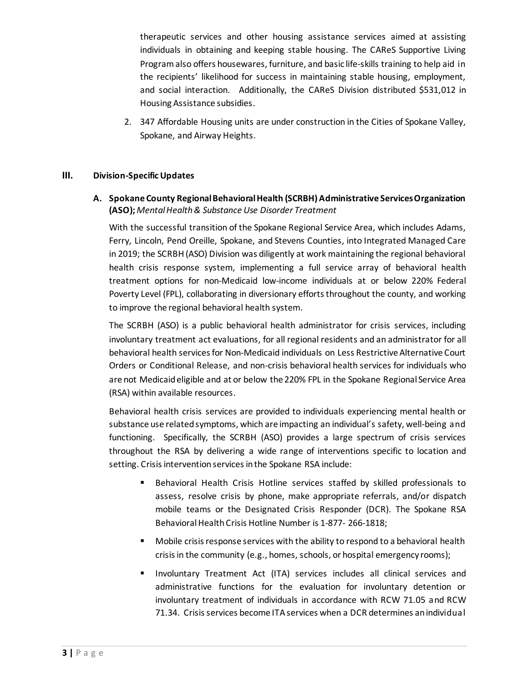therapeutic services and other housing assistance services aimed at assisting individuals in obtaining and keeping stable housing. The CAReS Supportive Living Programalso offers housewares, furniture, and basic life-skills training to help aid in the recipients' likelihood for success in maintaining stable housing, employment, and social interaction. Additionally, the CAReS Division distributed \$531,012 in Housing Assistance subsidies.

2. 347 Affordable Housing units are under construction in the Cities of Spokane Valley, Spokane, and Airway Heights.

### **III. Division-Specific Updates**

## **A. Spokane County Regional Behavioral Health (SCRBH)Administrative Services Organization (ASO);** *Mental Health & Substance Use Disorder Treatment*

With the successful transition of the Spokane Regional Service Area, which includes Adams, Ferry, Lincoln, Pend Oreille, Spokane, and Stevens Counties, into Integrated Managed Care in 2019; the SCRBH (ASO) Division was diligently at work maintaining the regional behavioral health crisis response system, implementing a full service array of behavioral health treatment options for non-Medicaid low-income individuals at or below 220% Federal Poverty Level (FPL), collaborating in diversionary efforts throughout the county, and working to improve the regional behavioral health system.

The SCRBH (ASO) is a public behavioral health administrator for crisis services, including involuntary treatment act evaluations, for all regional residents and an administrator for all behavioral health services for Non-Medicaid individuals on Less Restrictive Alternative Court Orders or Conditional Release, and non-crisis behavioral health services for individuals who are not Medicaid eligible and at or below the 220% FPL in the Spokane Regional Service Area (RSA) within available resources.

Behavioral health crisis services are provided to individuals experiencing mental health or substance use related symptoms, which are impacting an individual's safety, well-being and functioning. Specifically, the SCRBH (ASO) provides a large spectrum of crisis services throughout the RSA by delivering a wide range of interventions specific to location and setting. Crisis intervention services in the Spokane RSA include:

- Behavioral Health Crisis Hotline services staffed by skilled professionals to assess, resolve crisis by phone, make appropriate referrals, and/or dispatch mobile teams or the Designated Crisis Responder (DCR). The Spokane RSA Behavioral Health Crisis Hotline Number is 1-877- 266-1818;
- Mobile crisis response services with the ability to respond to a behavioral health crisis in the community (e.g., homes, schools, or hospital emergency rooms);
- Involuntary Treatment Act (ITA) services includes all clinical services and administrative functions for the evaluation for involuntary detention or involuntary treatment of individuals in accordance with RCW 71.05 and RCW 71.34. Crisis services become ITA services when a DCR determines an individual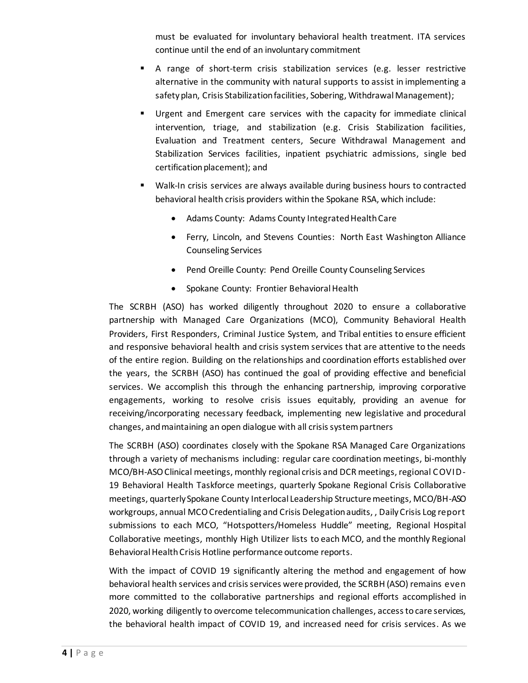must be evaluated for involuntary behavioral health treatment. ITA services continue until the end of an involuntary commitment

- A range of short-term crisis stabilization services (e.g. lesser restrictive alternative in the community with natural supports to assist in implementing a safety plan, Crisis Stabilization facilities, Sobering, Withdrawal Management);
- Urgent and Emergent care services with the capacity for immediate clinical intervention, triage, and stabilization (e.g. Crisis Stabilization facilities, Evaluation and Treatment centers, Secure Withdrawal Management and Stabilization Services facilities, inpatient psychiatric admissions, single bed certification placement); and
- Walk-In crisis services are always available during business hours to contracted behavioral health crisis providers within the Spokane RSA, which include:
	- Adams County: Adams County Integrated Health Care
	- Ferry, Lincoln, and Stevens Counties: North East Washington Alliance Counseling Services
	- Pend Oreille County: Pend Oreille County Counseling Services
	- Spokane County: Frontier Behavioral Health

The SCRBH (ASO) has worked diligently throughout 2020 to ensure a collaborative partnership with Managed Care Organizations (MCO), Community Behavioral Health Providers, First Responders, Criminal Justice System, and Tribal entities to ensure efficient and responsive behavioral health and crisis system services that are attentive to the needs of the entire region. Building on the relationships and coordination efforts established over the years, the SCRBH (ASO) has continued the goal of providing effective and beneficial services. We accomplish this through the enhancing partnership, improving corporative engagements, working to resolve crisis issues equitably, providing an avenue for receiving/incorporating necessary feedback, implementing new legislative and procedural changes, and maintaining an open dialogue with all crisis system partners

The SCRBH (ASO) coordinates closely with the Spokane RSA Managed Care Organizations through a variety of mechanisms including: regular care coordination meetings, bi-monthly MCO/BH-ASO Clinical meetings, monthly regional crisis and DCR meetings, regional COVID-19 Behavioral Health Taskforce meetings, quarterly Spokane Regional Crisis Collaborative meetings, quarterly Spokane County Interlocal Leadership Structure meetings, MCO/BH-ASO workgroups, annual MCO Credentialing and Crisis Delegation audits, , DailyCrisis Log report submissions to each MCO, "Hotspotters/Homeless Huddle" meeting, Regional Hospital Collaborative meetings, monthly High Utilizer lists to each MCO, and the monthly Regional Behavioral Health Crisis Hotline performance outcome reports.

With the impact of COVID 19 significantly altering the method and engagement of how behavioral health services and crisis services were provided, the SCRBH (ASO) remains even more committed to the collaborative partnerships and regional efforts accomplished in 2020, working diligently to overcome telecommunication challenges, access to care services, the behavioral health impact of COVID 19, and increased need for crisis services. As we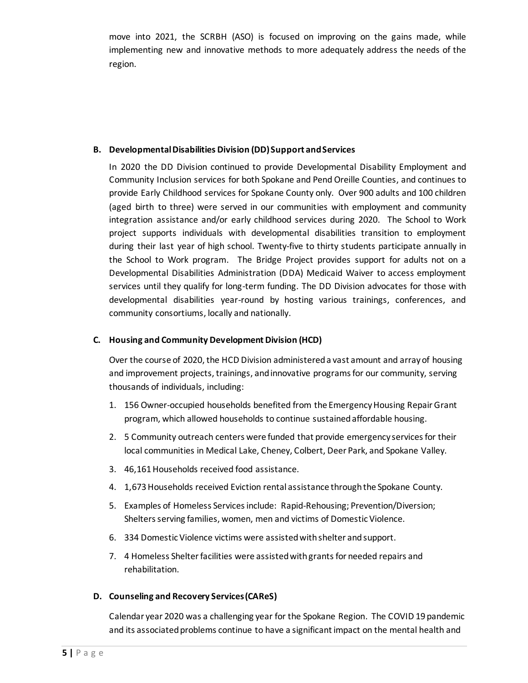move into 2021, the SCRBH (ASO) is focused on improving on the gains made, while implementing new and innovative methods to more adequately address the needs of the region.

#### **B. Developmental Disabilities Division (DD) Support and Services**

In 2020 the DD Division continued to provide Developmental Disability Employment and Community Inclusion services for both Spokane and Pend Oreille Counties, and continues to provide Early Childhood services for Spokane County only. Over 900 adults and 100 children (aged birth to three) were served in our communities with employment and community integration assistance and/or early childhood services during 2020. The School to Work project supports individuals with developmental disabilities transition to employment during their last year of high school. Twenty-five to thirty students participate annually in the School to Work program. The Bridge Project provides support for adults not on a Developmental Disabilities Administration (DDA) Medicaid Waiver to access employment services until they qualify for long-term funding. The DD Division advocates for those with developmental disabilities year-round by hosting various trainings, conferences, and community consortiums, locally and nationally.

### **C. Housing and Community Development Division (HCD)**

Over the course of 2020, the HCD Division administered a vast amount and array of housing and improvement projects, trainings, and innovative programs for our community, serving thousands of individuals, including:

- 1. 156 Owner-occupied households benefited from the Emergency Housing Repair Grant program, which allowed households to continue sustained affordable housing.
- 2. 5 Community outreach centers were funded that provide emergency services for their local communities in Medical Lake, Cheney, Colbert, Deer Park, and Spokane Valley.
- 3. 46,161 Households received food assistance.
- 4. 1,673 Households received Eviction rental assistance through the Spokane County.
- 5. Examples of Homeless Services include: Rapid-Rehousing; Prevention/Diversion; Shelters serving families, women, men and victims of Domestic Violence.
- 6. 334 Domestic Violence victims were assisted with shelter and support.
- 7. 4 Homeless Shelter facilities were assisted with grants for needed repairs and rehabilitation.

### **D. Counseling and Recovery Services (CAReS)**

Calendar year 2020 was a challenging year for the Spokane Region. The COVID 19 pandemic and its associated problems continue to have a significant impact on the mental health and